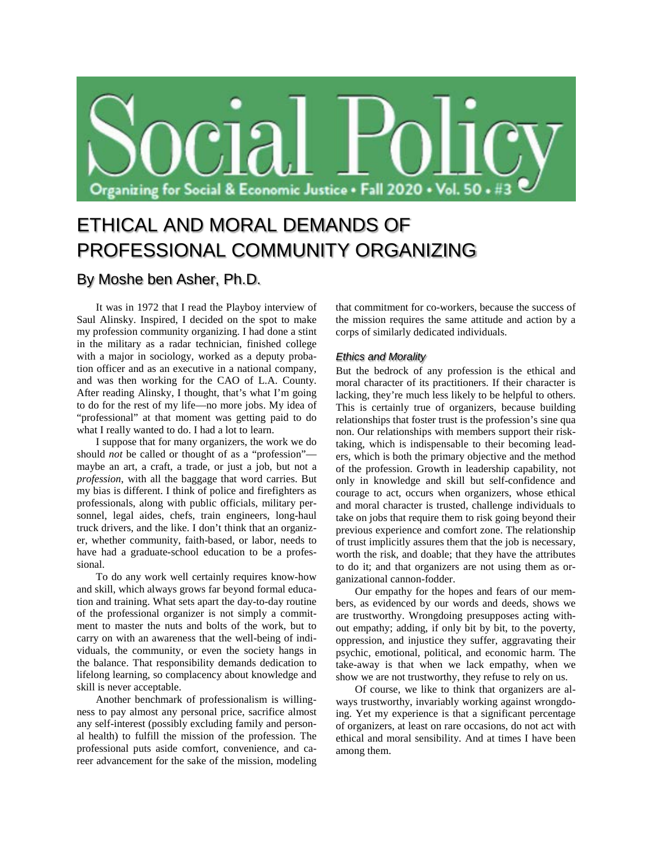

# ETHICAL AND MORAL DEMANDS OF PROFESSIONAL COMMUNITY ORGANIZING

# By Moshe ben Asher, Ph.D.

It was in 1972 that I read the Playboy interview of Saul Alinsky. Inspired, I decided on the spot to make my profession community organizing. I had done a stint in the military as a radar technician, finished college with a major in sociology, worked as a deputy probation officer and as an executive in a national company, and was then working for the CAO of L.A. County. After reading Alinsky, I thought, that's what I'm going to do for the rest of my life—no more jobs. My idea of "professional" at that moment was getting paid to do what I really wanted to do. I had a lot to learn.

I suppose that for many organizers, the work we do should *not* be called or thought of as a "profession" maybe an art, a craft, a trade, or just a job, but not a *profession*, with all the baggage that word carries. But my bias is different. I think of police and firefighters as professionals, along with public officials, military personnel, legal aides, chefs, train engineers, long-haul truck drivers, and the like. I don't think that an organizer, whether community, faith-based, or labor, needs to have had a graduate-school education to be a professional.

To do any work well certainly requires know-how and skill, which always grows far beyond formal education and training. What sets apart the day-to-day routine of the professional organizer is not simply a commitment to master the nuts and bolts of the work, but to carry on with an awareness that the well-being of individuals, the community, or even the society hangs in the balance. That responsibility demands dedication to lifelong learning, so complacency about knowledge and skill is never acceptable.

Another benchmark of professionalism is willingness to pay almost any personal price, sacrifice almost any self-interest (possibly excluding family and personal health) to fulfill the mission of the profession. The professional puts aside comfort, convenience, and career advancement for the sake of the mission, modeling that commitment for co-workers, because the success of the mission requires the same attitude and action by a corps of similarly dedicated individuals.

## *Ethics and Morality*

But the bedrock of any profession is the ethical and moral character of its practitioners. If their character is lacking, they're much less likely to be helpful to others. This is certainly true of organizers, because building relationships that foster trust is the profession's sine qua non. Our relationships with members support their risktaking, which is indispensable to their becoming leaders, which is both the primary objective and the method of the profession. Growth in leadership capability, not only in knowledge and skill but self-confidence and courage to act, occurs when organizers, whose ethical and moral character is trusted, challenge individuals to take on jobs that require them to risk going beyond their previous experience and comfort zone. The relationship of trust implicitly assures them that the job is necessary, worth the risk, and doable; that they have the attributes to do it; and that organizers are not using them as organizational cannon-fodder.

Our empathy for the hopes and fears of our members, as evidenced by our words and deeds, shows we are trustworthy. Wrongdoing presupposes acting without empathy; adding, if only bit by bit, to the poverty, oppression, and injustice they suffer, aggravating their psychic, emotional, political, and economic harm. The take-away is that when we lack empathy, when we show we are not trustworthy, they refuse to rely on us.

Of course, we like to think that organizers are always trustworthy, invariably working against wrongdoing. Yet my experience is that a significant percentage of organizers, at least on rare occasions, do not act with ethical and moral sensibility. And at times I have been among them.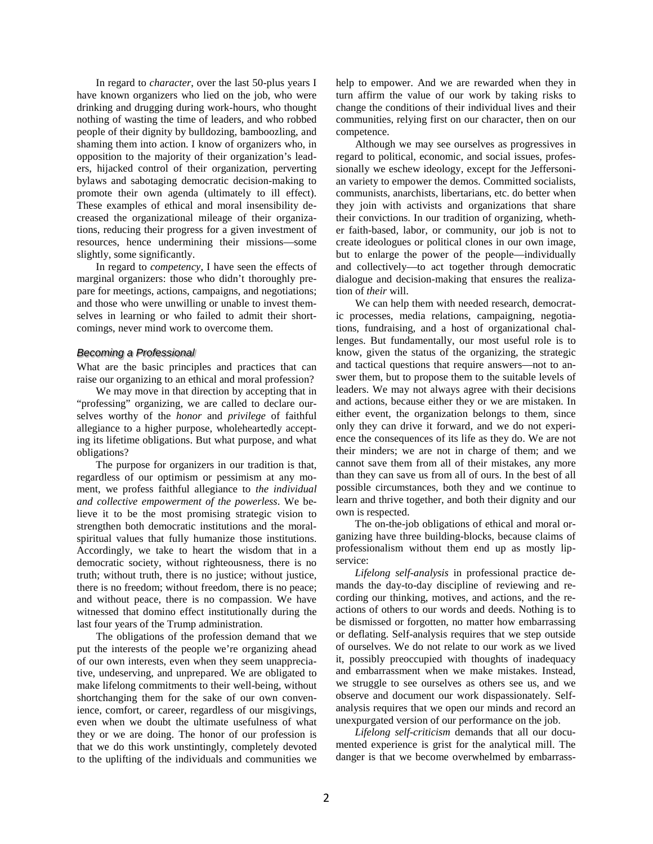In regard to *character*, over the last 50-plus years I have known organizers who lied on the job, who were drinking and drugging during work-hours, who thought nothing of wasting the time of leaders, and who robbed people of their dignity by bulldozing, bamboozling, and shaming them into action. I know of organizers who, in opposition to the majority of their organization's leaders, hijacked control of their organization, perverting bylaws and sabotaging democratic decision-making to promote their own agenda (ultimately to ill effect). These examples of ethical and moral insensibility decreased the organizational mileage of their organizations, reducing their progress for a given investment of resources, hence undermining their missions—some slightly, some significantly.

In regard to *competency*, I have seen the effects of marginal organizers: those who didn't thoroughly prepare for meetings, actions, campaigns, and negotiations; and those who were unwilling or unable to invest themselves in learning or who failed to admit their shortcomings, never mind work to overcome them.

### *Becoming a Professional*

What are the basic principles and practices that can raise our organizing to an ethical and moral profession?

We may move in that direction by accepting that in "professing" organizing, we are called to declare ourselves worthy of the *honor* and *privilege* of faithful allegiance to a higher purpose, wholeheartedly accepting its lifetime obligations. But what purpose, and what obligations?

The purpose for organizers in our tradition is that, regardless of our optimism or pessimism at any moment, we profess faithful allegiance to *the individual and collective empowerment of the powerless*. We believe it to be the most promising strategic vision to strengthen both democratic institutions and the moralspiritual values that fully humanize those institutions. Accordingly, we take to heart the wisdom that in a democratic society, without righteousness, there is no truth; without truth, there is no justice; without justice, there is no freedom; without freedom, there is no peace; and without peace, there is no compassion. We have witnessed that domino effect institutionally during the last four years of the Trump administration.

The obligations of the profession demand that we put the interests of the people we're organizing ahead of our own interests, even when they seem unappreciative, undeserving, and unprepared. We are obligated to make lifelong commitments to their well-being, without shortchanging them for the sake of our own convenience, comfort, or career, regardless of our misgivings, even when we doubt the ultimate usefulness of what they or we are doing. The honor of our profession is that we do this work unstintingly, completely devoted to the uplifting of the individuals and communities we help to empower. And we are rewarded when they in turn affirm the value of our work by taking risks to change the conditions of their individual lives and their communities, relying first on our character, then on our competence.

Although we may see ourselves as progressives in regard to political, economic, and social issues, professionally we eschew ideology, except for the Jeffersonian variety to empower the demos. Committed socialists, communists, anarchists, libertarians, etc. do better when they join with activists and organizations that share their convictions. In our tradition of organizing, whether faith-based, labor, or community, our job is not to create ideologues or political clones in our own image, but to enlarge the power of the people—individually and collectively—to act together through democratic dialogue and decision-making that ensures the realization of *their* will.

We can help them with needed research, democratic processes, media relations, campaigning, negotiations, fundraising, and a host of organizational challenges. But fundamentally, our most useful role is to know, given the status of the organizing, the strategic and tactical questions that require answers—not to answer them, but to propose them to the suitable levels of leaders. We may not always agree with their decisions and actions, because either they or we are mistaken. In either event, the organization belongs to them, since only they can drive it forward, and we do not experience the consequences of its life as they do. We are not their minders; we are not in charge of them; and we cannot save them from all of their mistakes, any more than they can save us from all of ours. In the best of all possible circumstances, both they and we continue to learn and thrive together, and both their dignity and our own is respected.

The on-the-job obligations of ethical and moral organizing have three building-blocks, because claims of professionalism without them end up as mostly lipservice:

*Lifelong self-analysis* in professional practice demands the day-to-day discipline of reviewing and recording our thinking, motives, and actions, and the reactions of others to our words and deeds. Nothing is to be dismissed or forgotten, no matter how embarrassing or deflating. Self-analysis requires that we step outside of ourselves. We do not relate to our work as we lived it, possibly preoccupied with thoughts of inadequacy and embarrassment when we make mistakes. Instead, we struggle to see ourselves as others see us, and we observe and document our work dispassionately. Selfanalysis requires that we open our minds and record an unexpurgated version of our performance on the job.

*Lifelong self-criticism* demands that all our documented experience is grist for the analytical mill. The danger is that we become overwhelmed by embarrass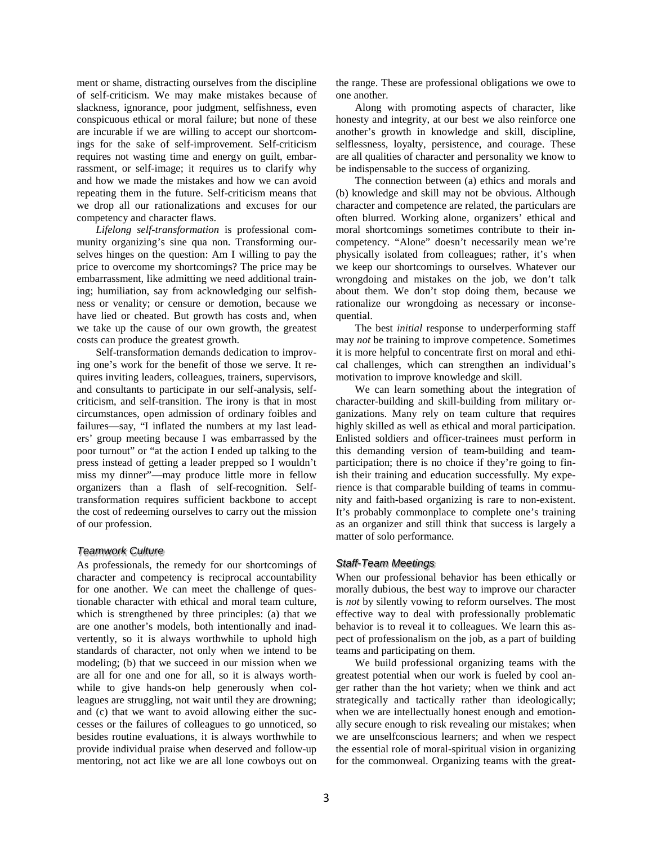ment or shame, distracting ourselves from the discipline of self-criticism. We may make mistakes because of slackness, ignorance, poor judgment, selfishness, even conspicuous ethical or moral failure; but none of these are incurable if we are willing to accept our shortcomings for the sake of self-improvement. Self-criticism requires not wasting time and energy on guilt, embarrassment, or self-image; it requires us to clarify why and how we made the mistakes and how we can avoid repeating them in the future. Self-criticism means that we drop all our rationalizations and excuses for our competency and character flaws.

*Lifelong self-transformation* is professional community organizing's sine qua non. Transforming ourselves hinges on the question: Am I willing to pay the price to overcome my shortcomings? The price may be embarrassment, like admitting we need additional training; humiliation, say from acknowledging our selfishness or venality; or censure or demotion, because we have lied or cheated. But growth has costs and, when we take up the cause of our own growth, the greatest costs can produce the greatest growth.

Self-transformation demands dedication to improving one's work for the benefit of those we serve. It requires inviting leaders, colleagues, trainers, supervisors, and consultants to participate in our self-analysis, selfcriticism, and self-transition. The irony is that in most circumstances, open admission of ordinary foibles and failures—say, "I inflated the numbers at my last leaders' group meeting because I was embarrassed by the poor turnout" or "at the action I ended up talking to the press instead of getting a leader prepped so I wouldn't miss my dinner"—may produce little more in fellow organizers than a flash of self-recognition. Selftransformation requires sufficient backbone to accept the cost of redeeming ourselves to carry out the mission of our profession.

#### *Teamwork Culture*

As professionals, the remedy for our shortcomings of character and competency is reciprocal accountability for one another. We can meet the challenge of questionable character with ethical and moral team culture, which is strengthened by three principles: (a) that we are one another's models, both intentionally and inadvertently, so it is always worthwhile to uphold high standards of character, not only when we intend to be modeling; (b) that we succeed in our mission when we are all for one and one for all, so it is always worthwhile to give hands-on help generously when colleagues are struggling, not wait until they are drowning; and (c) that we want to avoid allowing either the successes or the failures of colleagues to go unnoticed, so besides routine evaluations, it is always worthwhile to provide individual praise when deserved and follow-up mentoring, not act like we are all lone cowboys out on

the range. These are professional obligations we owe to one another.

Along with promoting aspects of character, like honesty and integrity, at our best we also reinforce one another's growth in knowledge and skill, discipline, selflessness, loyalty, persistence, and courage. These are all qualities of character and personality we know to be indispensable to the success of organizing.

The connection between (a) ethics and morals and (b) knowledge and skill may not be obvious. Although character and competence are related, the particulars are often blurred. Working alone, organizers' ethical and moral shortcomings sometimes contribute to their incompetency. "Alone" doesn't necessarily mean we're physically isolated from colleagues; rather, it's when we keep our shortcomings to ourselves. Whatever our wrongdoing and mistakes on the job, we don't talk about them. We don't stop doing them, because we rationalize our wrongdoing as necessary or inconsequential.

The best *initial* response to underperforming staff may *not* be training to improve competence. Sometimes it is more helpful to concentrate first on moral and ethical challenges, which can strengthen an individual's motivation to improve knowledge and skill.

We can learn something about the integration of character-building and skill-building from military organizations. Many rely on team culture that requires highly skilled as well as ethical and moral participation. Enlisted soldiers and officer-trainees must perform in this demanding version of team-building and teamparticipation; there is no choice if they're going to finish their training and education successfully. My experience is that comparable building of teams in community and faith-based organizing is rare to non-existent. It's probably commonplace to complete one's training as an organizer and still think that success is largely a matter of solo performance.

#### *Staff-Team Meetings*

When our professional behavior has been ethically or morally dubious, the best way to improve our character is *not* by silently vowing to reform ourselves. The most effective way to deal with professionally problematic behavior is to reveal it to colleagues. We learn this aspect of professionalism on the job, as a part of building teams and participating on them.

We build professional organizing teams with the greatest potential when our work is fueled by cool anger rather than the hot variety; when we think and act strategically and tactically rather than ideologically; when we are intellectually honest enough and emotionally secure enough to risk revealing our mistakes; when we are unselfconscious learners; and when we respect the essential role of moral-spiritual vision in organizing for the commonweal. Organizing teams with the great